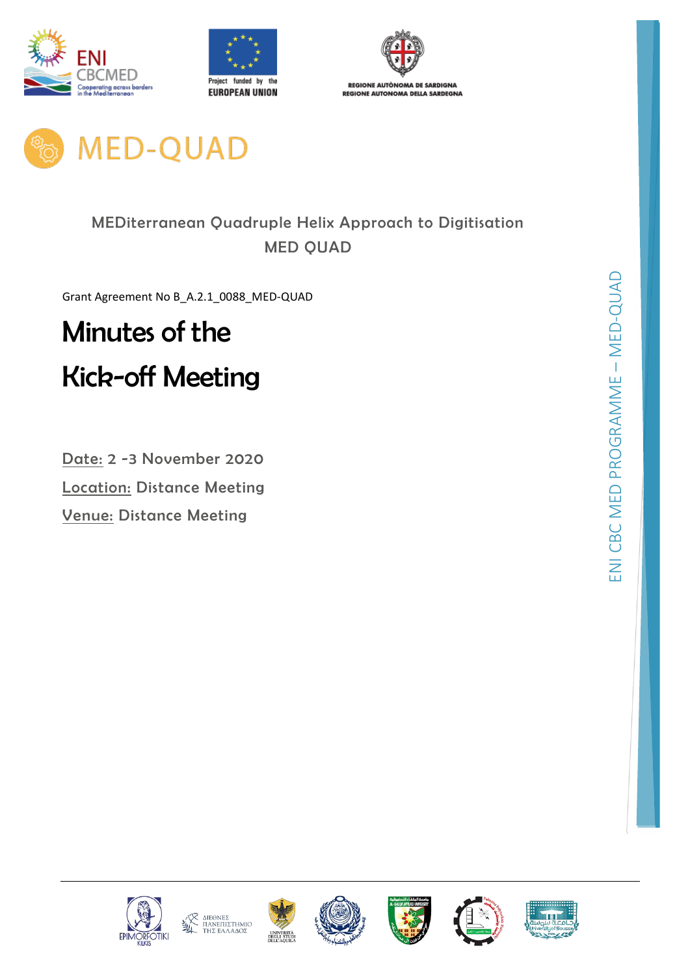







# MEDiterranean Quadruple Helix Approach to Digitisation MED QUAD

Grant Agreement No B\_A.2.1\_0088\_MED-QUAD

# Minutes of the Kick-off Meeting

Date: 2 -3 November 2020 Location: Distance Meeting Venue: Distance Meeting











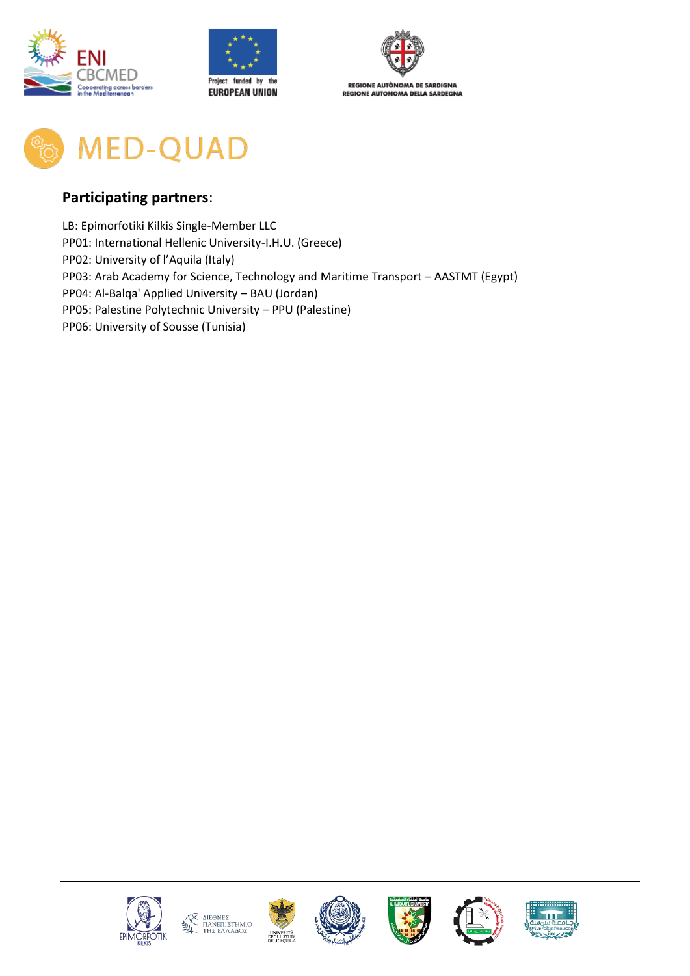



**MED-QUAD** 

### **Participating partners**:

LB: Epimorfotiki Kilkis Single-Member LLC PP01: International Hellenic University-I.H.U. (Greece) PP02: University of l'Aquila (Italy) PP03: Arab Academy for Science, Technology and Maritime Transport – AASTMT (Egypt) PP04: Al-Balqa' Applied University – BAU (Jordan) PP05: Palestine Polytechnic University – PPU (Palestine) PP06: University of Sousse (Tunisia)











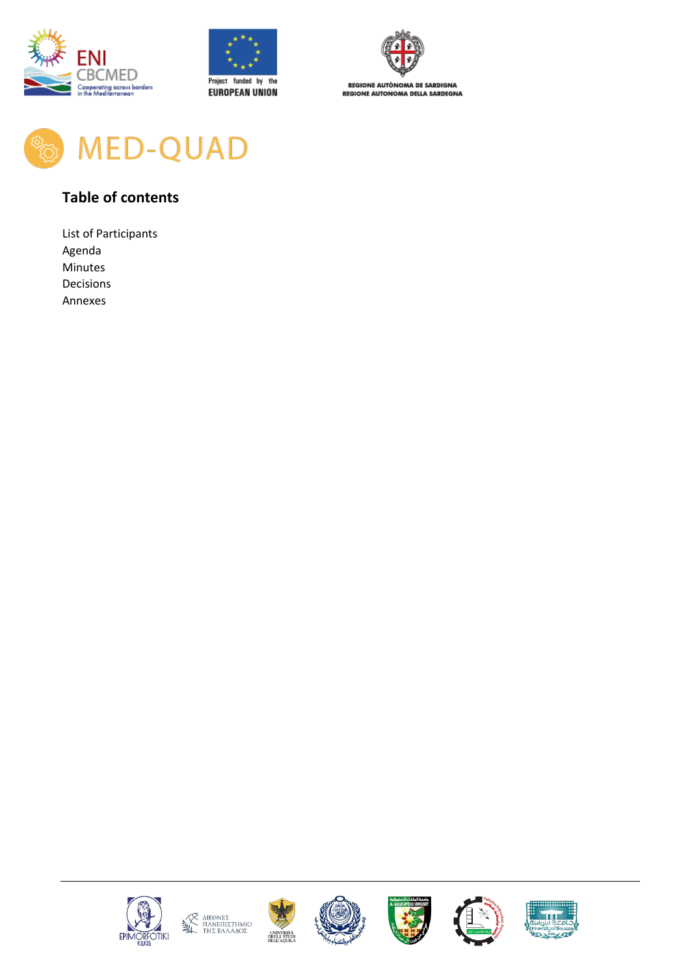





**REGIONE AUTÒNOMA DE SARDIGNA REGIONE AUTONOMA DELLA SARDEGNA** 



## **Table of contents**

List of Participants Agenda Minutes Decisions Annexes











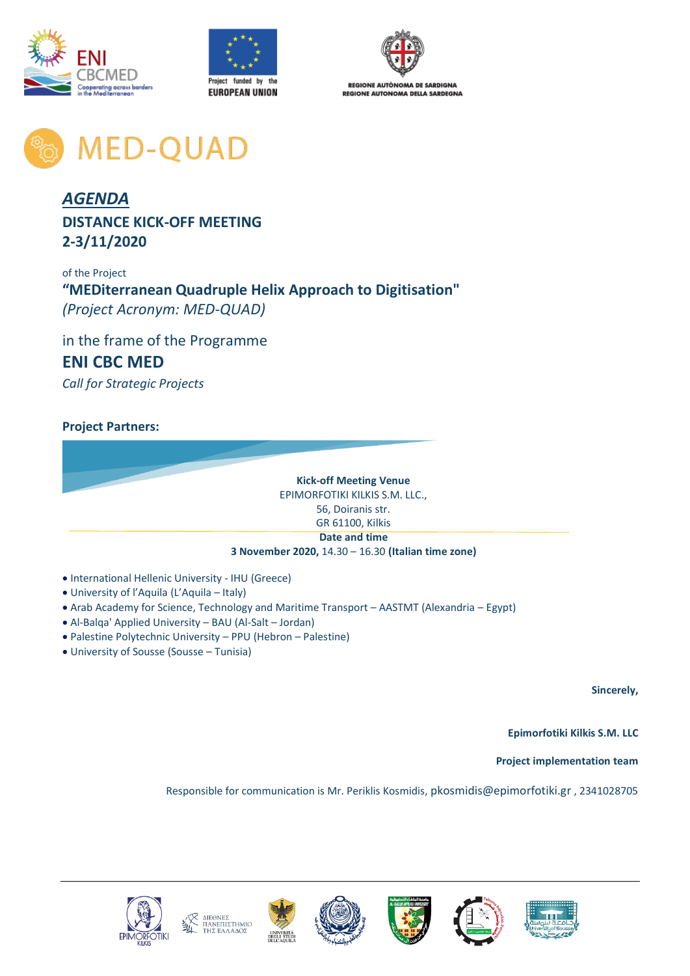





**MED-QUAD** 

## *AGENDA* **DISTANCE KICK-OFF MEETING 2-3/11/2020**

of the Project **"MEDiterranean Quadruple Helix Approach to Digitisation"** *(Project Acronym: MED-QUAD)*

in the frame of the Programme **ENI CBC MED**  *Call for Strategic Projects*

#### **Project Partners:**

**Kick-off Meeting Venue**  EPIMORFOTIKI KILKIS S.M. LLC., 56, Doiranis str. GR 61100, Kilkis **Date and time**

#### **3 November 2020,** 14.30 – 16.30 **(Italian time zone)**

- International Hellenic University IHU (Greece)
- University of l'Aquila (L'Aquila Italy)
- Arab Academy for Science, Technology and Maritime Transport AASTMT (Alexandria Egypt)
- Al-Balqa' Applied University BAU (Al-Salt Jordan)
- Palestine Polytechnic University PPU (Hebron Palestine)
- University of Sousse (Sousse Tunisia)

**Sincerely,** 

**Epimorfotiki Kilkis S.M. LLC**

**Project implementation team**

Responsible for communication is Mr. Periklis Kosmidis, [pkosmidis@epimorfotiki.gr](mailto:pkosmidis@epimorfotiki.gr) , 2341028705











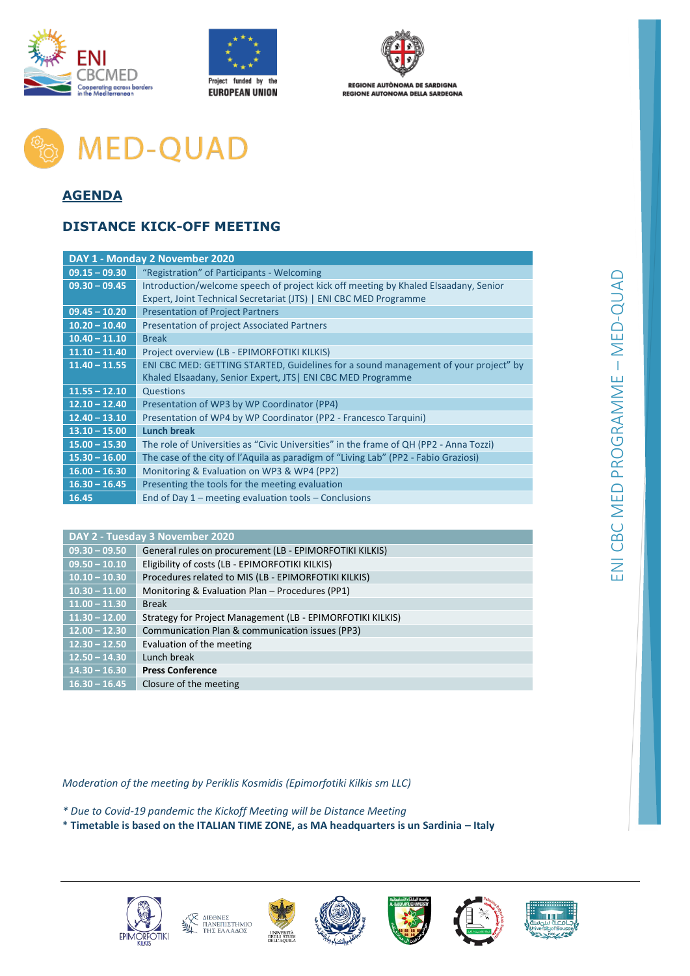





**REGIONE AUTÒNOMA DE SARDIGNA REGIONE AUTONOMA DELLA SARDEGNA** 

# **MED-QUAD**

## **AGENDA**

### **DISTANCE KICK-OFF MEETING**

| DAY 1 - Monday 2 November 2020                                                         |  |  |  |  |  |  |
|----------------------------------------------------------------------------------------|--|--|--|--|--|--|
| "Registration" of Participants - Welcoming                                             |  |  |  |  |  |  |
| Introduction/welcome speech of project kick off meeting by Khaled Elsaadany, Senior    |  |  |  |  |  |  |
| Expert, Joint Technical Secretariat (JTS)   ENI CBC MED Programme                      |  |  |  |  |  |  |
| <b>Presentation of Project Partners</b>                                                |  |  |  |  |  |  |
| <b>Presentation of project Associated Partners</b>                                     |  |  |  |  |  |  |
| <b>Break</b>                                                                           |  |  |  |  |  |  |
| Project overview (LB - EPIMORFOTIKI KILKIS)                                            |  |  |  |  |  |  |
| ENI CBC MED: GETTING STARTED, Guidelines for a sound management of your project" by    |  |  |  |  |  |  |
| Khaled Elsaadany, Senior Expert, JTS   ENI CBC MED Programme                           |  |  |  |  |  |  |
| Questions                                                                              |  |  |  |  |  |  |
| Presentation of WP3 by WP Coordinator (PP4)                                            |  |  |  |  |  |  |
| Presentation of WP4 by WP Coordinator (PP2 - Francesco Tarquini)                       |  |  |  |  |  |  |
| <b>Lunch break</b>                                                                     |  |  |  |  |  |  |
| The role of Universities as "Civic Universities" in the frame of QH (PP2 - Anna Tozzi) |  |  |  |  |  |  |
| The case of the city of l'Aquila as paradigm of "Living Lab" (PP2 - Fabio Graziosi)    |  |  |  |  |  |  |
| Monitoring & Evaluation on WP3 & WP4 (PP2)                                             |  |  |  |  |  |  |
| Presenting the tools for the meeting evaluation                                        |  |  |  |  |  |  |
| End of Day $1$ – meeting evaluation tools – Conclusions                                |  |  |  |  |  |  |
|                                                                                        |  |  |  |  |  |  |

| DAY 2 - Tuesday 3 November 2020 |                                                            |  |  |  |  |  |
|---------------------------------|------------------------------------------------------------|--|--|--|--|--|
| $09.30 - 09.50$                 | General rules on procurement (LB - EPIMORFOTIKI KILKIS)    |  |  |  |  |  |
| $09.50 - 10.10$                 | Eligibility of costs (LB - EPIMORFOTIKI KILKIS)            |  |  |  |  |  |
| $10.10 - 10.30$                 | Procedures related to MIS (LB - EPIMORFOTIKI KILKIS)       |  |  |  |  |  |
| $10.30 - 11.00$                 | Monitoring & Evaluation Plan - Procedures (PP1)            |  |  |  |  |  |
| $11.00 - 11.30$                 | <b>Break</b>                                               |  |  |  |  |  |
| $11.30 - 12.00$                 | Strategy for Project Management (LB - EPIMORFOTIKI KILKIS) |  |  |  |  |  |
| $12.00 - 12.30$                 | Communication Plan & communication issues (PP3)            |  |  |  |  |  |
| $12.30 - 12.50$                 | Evaluation of the meeting                                  |  |  |  |  |  |
| $12.50 - 14.30$                 | Lunch break                                                |  |  |  |  |  |
| $14.30 - 16.30$                 | <b>Press Conference</b>                                    |  |  |  |  |  |
| $16.30 - 16.45$                 | Closure of the meeting                                     |  |  |  |  |  |

*Moderation of the meeting by Periklis Kosmidis (Epimorfotiki Kilkis sm LLC)*

- *\* Due to Covid-19 pandemic the Kickoff Meeting will be Distance Meeting*
- \* **Timetable is based on the ITALIAN TIME ZONE, as MA headquarters is un Sardinia – Italy**









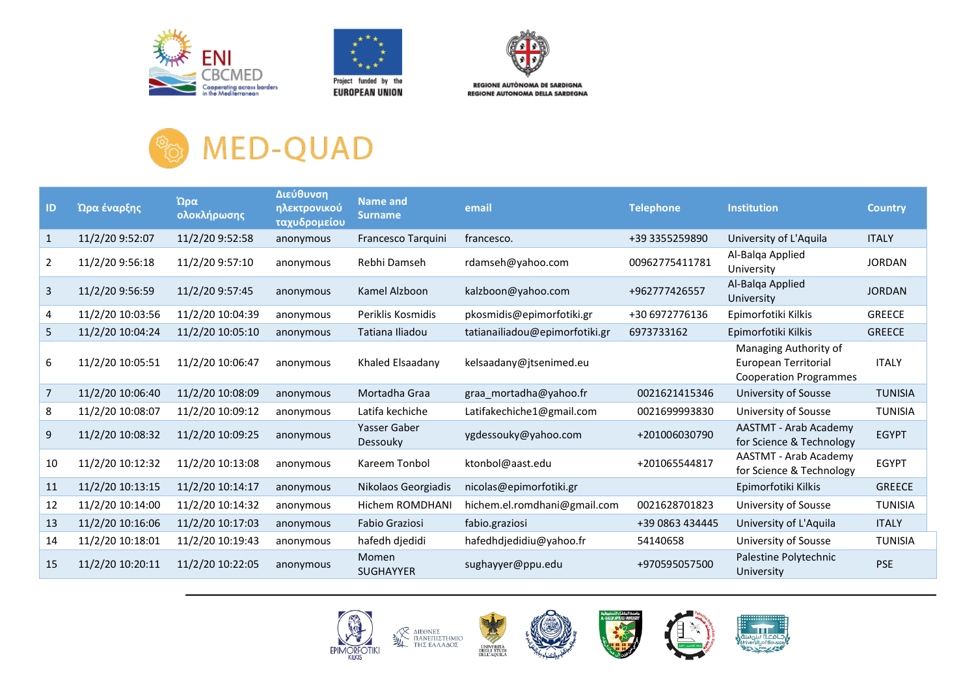





**REGIONE AUTÒNOMA DE SARDIGNA REGIONE AUTONOMA DELLA SARDEGNA** 

# **MED-QUAD OFFICIA**

| ID             | Ώρα έναρξης      | Ώρα<br>ολοκλήρωσης | Διεύθυνση<br>ηλεκτρονικού<br>ταχυδρομείου | Name and<br><b>Surname</b> | email                          | <b>Telephone</b> | <b>Institution</b>                                                             | <b>Country</b> |
|----------------|------------------|--------------------|-------------------------------------------|----------------------------|--------------------------------|------------------|--------------------------------------------------------------------------------|----------------|
| $\mathbf{1}$   | 11/2/20 9:52:07  | 11/2/20 9:52:58    | anonymous                                 | Francesco Tarquini         | francesco.                     | +39 3355259890   | University of L'Aquila                                                         | <b>ITALY</b>   |
| $\overline{2}$ | 11/2/20 9:56:18  | 11/2/20 9:57:10    | anonymous                                 | Rebhi Damseh               | rdamseh@yahoo.com              | 00962775411781   | Al-Balga Applied<br>University                                                 | <b>JORDAN</b>  |
| 3              | 11/2/20 9:56:59  | 11/2/20 9:57:45    | anonymous                                 | Kamel Alzboon              | kalzboon@yahoo.com             | +962777426557    | Al-Balga Applied<br>University                                                 | <b>JORDAN</b>  |
| 4              | 11/2/20 10:03:56 | 11/2/20 10:04:39   | anonymous                                 | Periklis Kosmidis          | pkosmidis@epimorfotiki.gr      | +30 6972776136   | Epimorfotiki Kilkis                                                            | <b>GREECE</b>  |
| 5              | 11/2/20 10:04:24 | 11/2/20 10:05:10   | anonymous                                 | Tatiana Iliadou            | tatianailiadou@epimorfotiki.gr | 6973733162       | Epimorfotiki Kilkis                                                            | <b>GREECE</b>  |
| 6              | 11/2/20 10:05:51 | 11/2/20 10:06:47   | anonymous                                 | Khaled Elsaadany           | kelsaadany@jtsenimed.eu        |                  | Managing Authority of<br>European Territorial<br><b>Cooperation Programmes</b> | <b>ITALY</b>   |
| 7              | 11/2/20 10:06:40 | 11/2/20 10:08:09   | anonymous                                 | Mortadha Graa              | graa mortadha@yahoo.fr         | 0021621415346    | University of Sousse                                                           | <b>TUNISIA</b> |
| 8              | 11/2/20 10:08:07 | 11/2/20 10:09:12   | anonymous                                 | Latifa kechiche            | Latifakechiche1@gmail.com      | 0021699993830    | University of Sousse                                                           | <b>TUNISIA</b> |
| 9              | 11/2/20 10:08:32 | 11/2/20 10:09:25   | anonymous                                 | Yasser Gaber<br>Dessouky   | ygdessouky@yahoo.com           | +201006030790    | AASTMT - Arab Academy<br>for Science & Technology                              | <b>EGYPT</b>   |
| 10             | 11/2/20 10:12:32 | 11/2/20 10:13:08   | anonymous                                 | Kareem Tonbol              | ktonbol@aast.edu               | +201065544817    | AASTMT - Arab Academy<br>for Science & Technology                              | <b>EGYPT</b>   |
| 11             | 11/2/20 10:13:15 | 11/2/20 10:14:17   | anonymous                                 | Nikolaos Georgiadis        | nicolas@epimorfotiki.gr        |                  | Epimorfotiki Kilkis                                                            | <b>GREECE</b>  |
| 12             | 11/2/20 10:14:00 | 11/2/20 10:14:32   | anonymous                                 | Hichem ROMDHANI            | hichem.el.romdhani@gmail.com   | 0021628701823    | University of Sousse                                                           | <b>TUNISIA</b> |
| 13             | 11/2/20 10:16:06 | 11/2/20 10:17:03   | anonymous                                 | Fabio Graziosi             | fabio.graziosi                 | +39 0863 434445  | University of L'Aquila                                                         | <b>ITALY</b>   |
| 14             | 11/2/20 10:18:01 | 11/2/20 10:19:43   | anonymous                                 | hafedh djedidi             | hafedhdjedidiu@yahoo.fr        | 54140658         | University of Sousse                                                           | <b>TUNISIA</b> |
| 15             | 11/2/20 10:20:11 | 11/2/20 10:22:05   | anonymous                                 | Momen<br><b>SUGHAYYER</b>  | sughayyer@ppu.edu              | +970595057500    | Palestine Polytechnic<br>University                                            | <b>PSE</b>     |

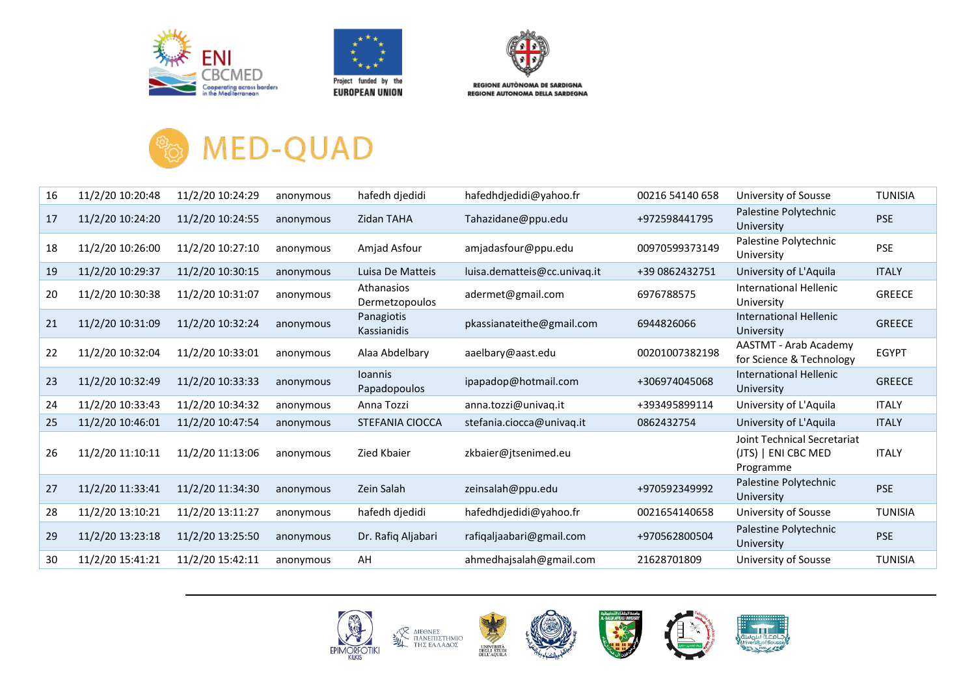





**REGIONE AUTONOMA DELLA SARDEGNA** 

## **MED-QUAD O<sub>FOL</sub>**

| 16 | 11/2/20 10:20:48 | 11/2/20 10:24:29 | anonymous | hafedh djedidi                 | hafedhdjedidi@yahoo.fr       | 00216 54140 658 | University of Sousse                                            | <b>TUNISIA</b> |
|----|------------------|------------------|-----------|--------------------------------|------------------------------|-----------------|-----------------------------------------------------------------|----------------|
| 17 | 11/2/20 10:24:20 | 11/2/20 10:24:55 | anonymous | <b>Zidan TAHA</b>              | Tahazidane@ppu.edu           | +972598441795   | Palestine Polytechnic<br>University                             | <b>PSE</b>     |
| 18 | 11/2/20 10:26:00 | 11/2/20 10:27:10 | anonymous | Amjad Asfour                   | amjadasfour@ppu.edu          | 00970599373149  | Palestine Polytechnic<br>University                             | <b>PSE</b>     |
| 19 | 11/2/20 10:29:37 | 11/2/20 10:30:15 | anonymous | Luisa De Matteis               | luisa.dematteis@cc.univaq.it | +39 0862432751  | University of L'Aquila                                          | <b>ITALY</b>   |
| 20 | 11/2/20 10:30:38 | 11/2/20 10:31:07 | anonymous | Athanasios<br>Dermetzopoulos   | adermet@gmail.com            | 6976788575      | International Hellenic<br>University                            | <b>GREECE</b>  |
| 21 | 11/2/20 10:31:09 | 11/2/20 10:32:24 | anonymous | Panagiotis<br>Kassianidis      | pkassianateithe@gmail.com    | 6944826066      | International Hellenic<br>University                            | <b>GREECE</b>  |
| 22 | 11/2/20 10:32:04 | 11/2/20 10:33:01 | anonymous | Alaa Abdelbary                 | aaelbary@aast.edu            | 00201007382198  | <b>AASTMT - Arab Academy</b><br>for Science & Technology        | <b>EGYPT</b>   |
| 23 | 11/2/20 10:32:49 | 11/2/20 10:33:33 | anonymous | <b>Ioannis</b><br>Papadopoulos | ipapadop@hotmail.com         | +306974045068   | International Hellenic<br>University                            | GREECE         |
| 24 | 11/2/20 10:33:43 | 11/2/20 10:34:32 | anonymous | Anna Tozzi                     | anna.tozzi@univaq.it         | +393495899114   | University of L'Aquila                                          | <b>ITALY</b>   |
| 25 | 11/2/20 10:46:01 | 11/2/20 10:47:54 | anonymous | STEFANIA CIOCCA                | stefania.ciocca@univaq.it    | 0862432754      | University of L'Aquila                                          | <b>ITALY</b>   |
| 26 | 11/2/20 11:10:11 | 11/2/20 11:13:06 | anonymous | Zied Kbaier                    | zkbaier@jtsenimed.eu         |                 | Joint Technical Secretariat<br>(JTS)   ENI CBC MED<br>Programme | <b>ITALY</b>   |
| 27 | 11/2/20 11:33:41 | 11/2/20 11:34:30 | anonymous | Zein Salah                     | zeinsalah@ppu.edu            | +970592349992   | Palestine Polytechnic<br>University                             | <b>PSE</b>     |
| 28 | 11/2/20 13:10:21 | 11/2/20 13:11:27 | anonymous | hafedh djedidi                 | hafedhdjedidi@yahoo.fr       | 0021654140658   | University of Sousse                                            | <b>TUNISIA</b> |
| 29 | 11/2/20 13:23:18 | 11/2/20 13:25:50 | anonymous | Dr. Rafiq Aljabari             | rafiqaljaabari@gmail.com     | +970562800504   | Palestine Polytechnic<br>University                             | <b>PSE</b>     |
| 30 | 11/2/20 15:41:21 | 11/2/20 15:42:11 | anonymous | AH                             | ahmedhajsalah@gmail.com      | 21628701809     | University of Sousse                                            | <b>TUNISIA</b> |
|    |                  |                  |           |                                |                              |                 |                                                                 |                |

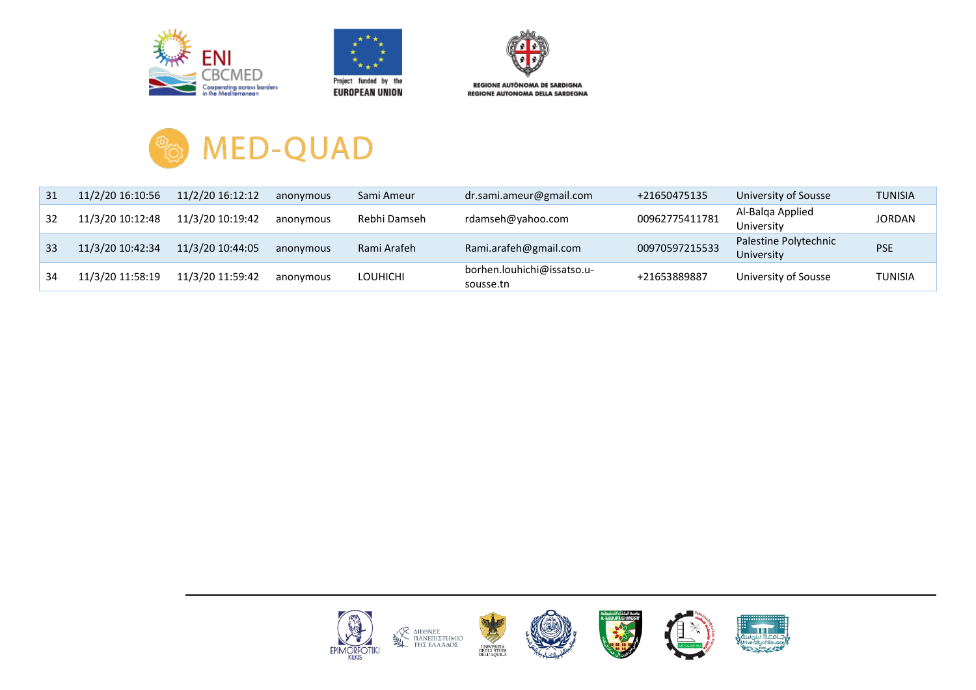





**REGIONE AUTONOMA DELLA SARDEGNA** 



| 31 | 11/2/20 16:10:56 | 11/2/20 16:12:12 | anonymous | Sami Ameur      | dr.sami.ameur@gmail.com                 | +21650475135   | University of Sousse                | <b>TUNISIA</b> |
|----|------------------|------------------|-----------|-----------------|-----------------------------------------|----------------|-------------------------------------|----------------|
| 32 | 11/3/20 10:12:48 | 11/3/20 10:19:42 | anonymous | Rebhi Damseh    | rdamseh@yahoo.com                       | 00962775411781 | Al-Balga Applied<br>University      | <b>JORDAN</b>  |
| 33 | 11/3/20 10:42:34 | 11/3/20 10:44:05 | anonymous | Rami Arafeh     | Rami.arafeh@gmail.com                   | 00970597215533 | Palestine Polytechnic<br>University | <b>PSE</b>     |
| 34 | 11/3/20 11:58:19 | 11/3/20 11:59:42 | anonymous | <b>LOUHICHI</b> | borhen.louhichi@issatso.u-<br>sousse.tn | +21653889887   | University of Sousse                | <b>TUNISIA</b> |

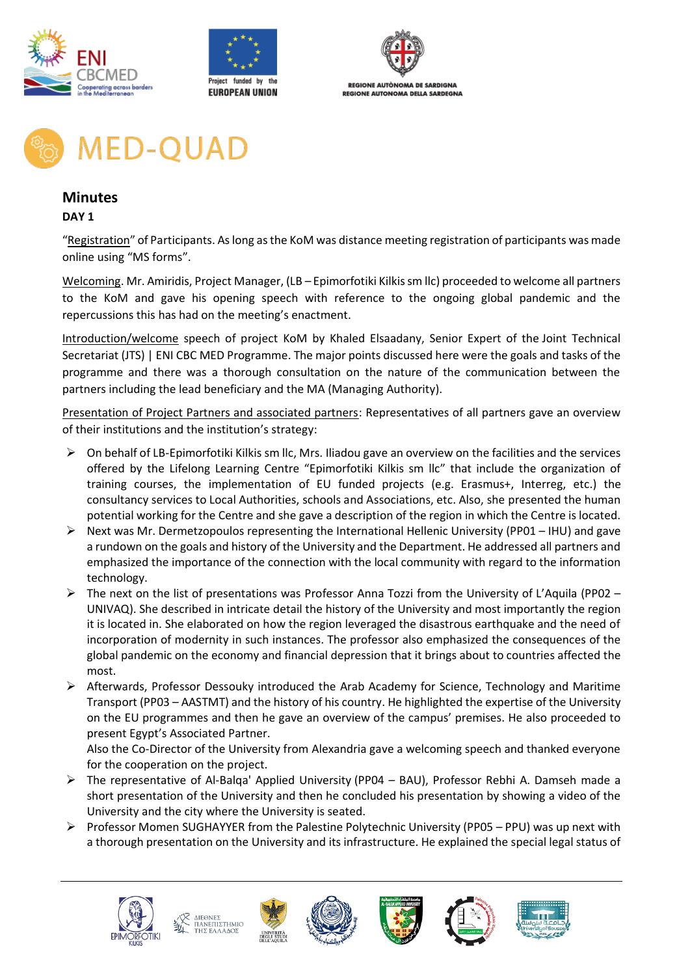





**MED-QUAD** 

### **Minutes**

#### **DAY 1**

"Registration" of Participants. As long as the KoM was distance meeting registration of participants was made online using "MS forms".

Welcoming. Mr. Amiridis, Project Manager, (LB – Epimorfotiki Kilkis sm llc) proceeded to welcome all partners to the KoM and gave his opening speech with reference to the ongoing global pandemic and the repercussions this has had on the meeting's enactment.

Introduction/welcome speech of project KoM by Khaled Elsaadany, Senior Expert of the Joint Technical Secretariat (JTS) | ENI CBC MED Programme. The major points discussed here were the goals and tasks of the programme and there was a thorough consultation on the nature of the communication between the partners including the lead beneficiary and the MA (Managing Authority).

Presentation of Project Partners and associated partners: Representatives of all partners gave an overview of their institutions and the institution's strategy:

- ➢ On behalf of LB-Epimorfotiki Kilkis sm llc, Mrs. Iliadou gave an overview on the facilities and the services offered by the Lifelong Learning Centre "Epimorfotiki Kilkis sm Ilc" that include the organization of training courses, the implementation of EU funded projects (e.g. Erasmus+, Interreg, etc.) the consultancy services to Local Authorities, schools and Associations, etc. Also, she presented the human potential working for the Centre and she gave a description of the region in which the Centre is located.
- ➢ Next was Mr. Dermetzopoulos representing the International Hellenic University (PP01 IHU) and gave a rundown on the goals and history of the University and the Department. He addressed all partners and emphasized the importance of the connection with the local community with regard to the information technology.
- $\triangleright$  The next on the list of presentations was Professor Anna Tozzi from the University of L'Aquila (PP02 UNIVAQ). She described in intricate detail the history of the University and most importantly the region it is located in. She elaborated on how the region leveraged the disastrous earthquake and the need of incorporation of modernity in such instances. The professor also emphasized the consequences of the global pandemic on the economy and financial depression that it brings about to countries affected the most.
- ➢ Afterwards, Professor Dessouky introduced the Arab Academy for Science, Technology and Maritime Transport (PP03 – AASTMT) and the history of his country. He highlighted the expertise of the University on the EU programmes and then he gave an overview of the campus' premises. He also proceeded to present Egypt's Associated Partner.

Also the Co-Director of the University from Alexandria gave a welcoming speech and thanked everyone for the cooperation on the project.

- ➢ The representative of Al-Balqa' Applied University (PP04 BAU), Professor Rebhi A. Damseh made a short presentation of the University and then he concluded his presentation by showing a video of the University and the city where the University is seated.
- ➢ Professor Momen SUGHAYYER from the Palestine Polytechnic University (PP05 PPU) was up next with a thorough presentation on the University and its infrastructure. He explained the special legal status of











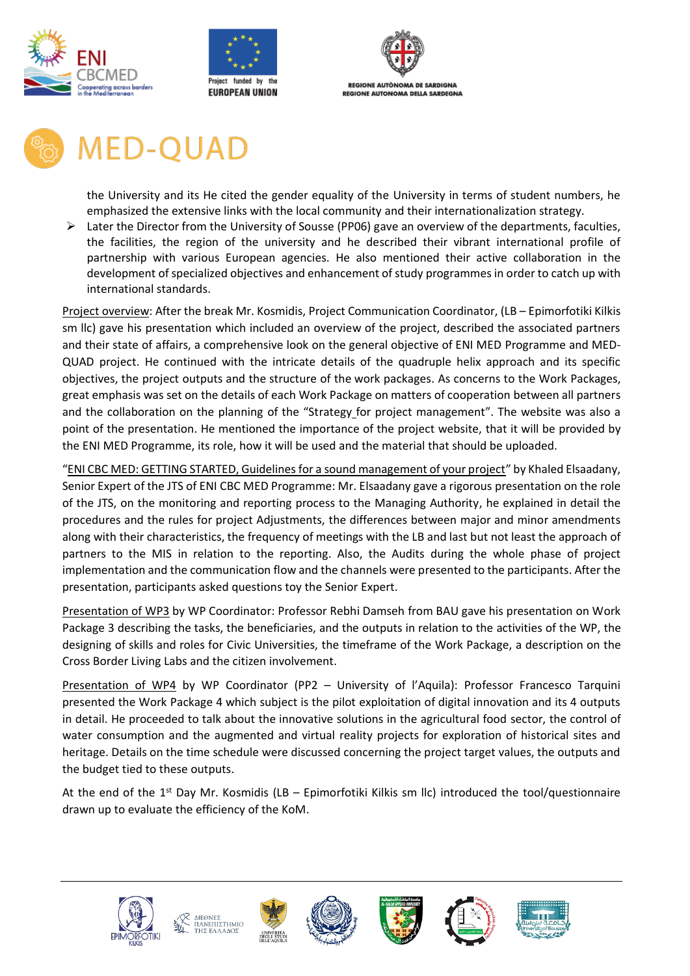





# **MED-QUAD**

the University and its He cited the gender equality of the University in terms of student numbers, he emphasized the extensive links with the local community and their internationalization strategy.

➢ Later the Director from the University of Sousse (PP06) gave an overview of the departments, faculties, the facilities, the region of the university and he described their vibrant international profile of partnership with various European agencies. He also mentioned their active collaboration in the development of specialized objectives and enhancement of study programmes in order to catch up with international standards.

Project overview: After the break Mr. Kosmidis, Project Communication Coordinator, (LB – Epimorfotiki Kilkis sm llc) gave his presentation which included an overview of the project, described the associated partners and their state of affairs, a comprehensive look on the general objective of ENI MED Programme and MED-QUAD project. He continued with the intricate details of the quadruple helix approach and its specific objectives, the project outputs and the structure of the work packages. As concerns to the Work Packages, great emphasis was set on the details of each Work Package on matters of cooperation between all partners and the collaboration on the planning of the "Strategy for project management". The website was also a point of the presentation. He mentioned the importance of the project website, that it will be provided by the ENI MED Programme, its role, how it will be used and the material that should be uploaded.

"ENI CBC MED: GETTING STARTED, Guidelines for a sound management of your project" by Khaled Elsaadany, Senior Expert of the JTS of ENI CBC MED Programme: Mr. Elsaadany gave a rigorous presentation on the role of the JTS, on the monitoring and reporting process to the Managing Authority, he explained in detail the procedures and the rules for project Adjustments, the differences between major and minor amendments along with their characteristics, the frequency of meetings with the LB and last but not least the approach of partners to the MIS in relation to the reporting. Also, the Audits during the whole phase of project implementation and the communication flow and the channels were presented to the participants. After the presentation, participants asked questions toy the Senior Expert.

Presentation of WP3 by WP Coordinator: Professor Rebhi Damseh from BAU gave his presentation on Work Package 3 describing the tasks, the beneficiaries, and the outputs in relation to the activities of the WP, the designing of skills and roles for Civic Universities, the timeframe of the Work Package, a description on the Cross Border Living Labs and the citizen involvement.

Presentation of WP4 by WP Coordinator (PP2 – University of l'Aquila): Professor Francesco Tarquini presented the Work Package 4 which subject is the pilot exploitation of digital innovation and its 4 outputs in detail. He proceeded to talk about the innovative solutions in the agricultural food sector, the control of water consumption and the augmented and virtual reality projects for exploration of historical sites and heritage. Details on the time schedule were discussed concerning the project target values, the outputs and the budget tied to these outputs.

At the end of the 1<sup>st</sup> Day Mr. Kosmidis (LB – Epimorfotiki Kilkis sm llc) introduced the tool/questionnaire drawn up to evaluate the efficiency of the KoM.











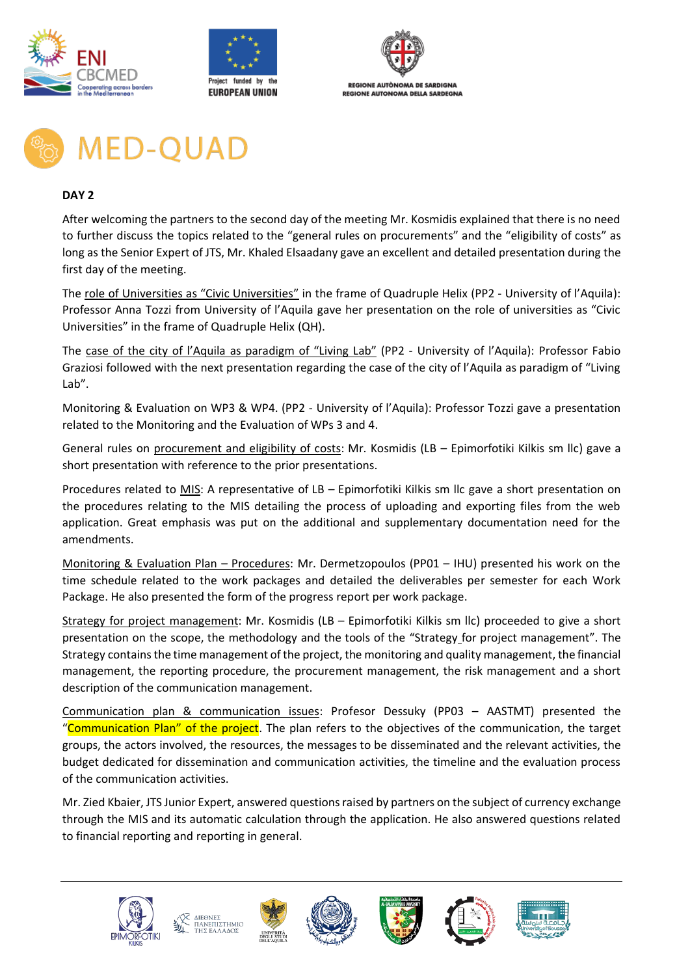





# **MED-QUAD**

#### **DAY 2**

After welcoming the partners to the second day of the meeting Mr. Kosmidis explained that there is no need to further discuss the topics related to the "general rules on procurements" and the "eligibility of costs" as long as the Senior Expert of JTS, Mr. Khaled Elsaadany gave an excellent and detailed presentation during the first day of the meeting.

The role of Universities as "Civic Universities" in the frame of Quadruple Helix (PP2 - University of l'Aquila): Professor Anna Tozzi from University of l'Aquila gave her presentation on the role of universities as "Civic Universities" in the frame of Quadruple Helix (QH).

The case of the city of l'Aquila as paradigm of "Living Lab" (PP2 - University of l'Aquila): Professor Fabio Graziosi followed with the next presentation regarding the case of the city of l'Aquila as paradigm of "Living Lab".

Monitoring & Evaluation on WP3 & WP4. (PP2 - University of l'Aquila): Professor Tozzi gave a presentation related to the Monitoring and the Evaluation of WPs 3 and 4.

General rules on procurement and eligibility of costs: Mr. Kosmidis (LB – Epimorfotiki Kilkis sm llc) gave a short presentation with reference to the prior presentations.

Procedures related to MIS: A representative of LB – Epimorfotiki Kilkis sm llc gave a short presentation on the procedures relating to the MIS detailing the process of uploading and exporting files from the web application. Great emphasis was put on the additional and supplementary documentation need for the amendments.

Monitoring & Evaluation Plan – Procedures: Mr. Dermetzopoulos (PP01 – IHU) presented his work on the time schedule related to the work packages and detailed the deliverables per semester for each Work Package. He also presented the form of the progress report per work package.

Strategy for project management: Mr. Kosmidis (LB – Epimorfotiki Kilkis sm llc) proceeded to give a short presentation on the scope, the methodology and the tools of the "Strategy for project management". The Strategy contains the time management of the project, the monitoring and quality management, the financial management, the reporting procedure, the procurement management, the risk management and a short description of the communication management.

Communication plan & communication issues: Profesor Dessuky (PP03 – AASTMT) presented the "Communication Plan" of the project. The plan refers to the objectives of the communication, the target groups, the actors involved, the resources, the messages to be disseminated and the relevant activities, the budget dedicated for dissemination and communication activities, the timeline and the evaluation process of the communication activities.

Mr. Zied Kbaier, JTS Junior Expert, answered questions raised by partners on the subject of currency exchange through the MIS and its automatic calculation through the application. He also answered questions related to financial reporting and reporting in general.